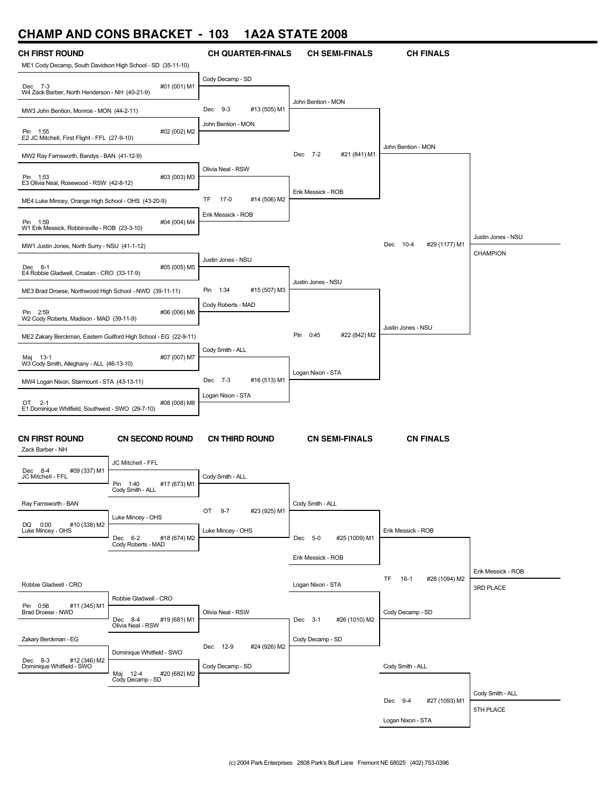## **CHAMP AND CONS BRACKET - 103 1A2A STATE 2008**

| <br>.                                                       |                                                                  | .                                            |                             |                              |                    |
|-------------------------------------------------------------|------------------------------------------------------------------|----------------------------------------------|-----------------------------|------------------------------|--------------------|
| <b>CH FIRST ROUND</b>                                       |                                                                  | <b>CH QUARTER-FINALS</b>                     | <b>CH SEMI-FINALS</b>       | <b>CH FINALS</b>             |                    |
| ME1 Cody Decamp, South Davidson High School - SD (35-11-10) |                                                                  |                                              |                             |                              |                    |
| Dec 7-3<br>W4 Zack Barber, North Henderson - NH (40-21-9)   | #01 (001) M1                                                     | Cody Decamp - SD                             |                             |                              |                    |
| MW3 John Bention, Monroe - MON (44-2-11)                    |                                                                  | #13 (505) M1<br>Dec 9-3                      | John Bention - MON          |                              |                    |
| Pin 1:55<br>E2 JC Mitchell, First Flight - FFL (27-9-10)    | #02 (002) M2                                                     | John Bention - MON                           |                             |                              |                    |
| MW2 Ray Farnsworth, Bandys - BAN (41-12-9)                  |                                                                  |                                              | #21 (841) M1<br>Dec 7-2     | John Bention - MON           |                    |
| Pin 1:53<br>E3 Olivia Neal, Rosewood - RSW (42-8-12)        | #03 (003) M3                                                     | Olivia Neal - RSW                            |                             |                              |                    |
| ME4 Luke Mincey, Orange High School - OHS (43-20-9)         |                                                                  | TF<br>17-0<br>#14 (506) M2                   | Erik Messick - ROB          |                              |                    |
| Pin 1:59<br>W1 Erik Messick, Robbinsville - ROB (23-3-10)   | #04 (004) M4                                                     | Erik Messick - ROB                           |                             |                              |                    |
| MW1 Justin Jones, North Surry - NSU (41-1-12)               |                                                                  |                                              |                             | Dec 10-4<br>#29 (1177) M1    | Justin Jones - NSU |
| Dec 8-1<br>E4 Robbie Gladwell, Croatan - CRO (33-17-9)      | #05 (005) M5                                                     | Justin Jones - NSU                           |                             |                              | <b>CHAMPION</b>    |
| ME3 Brad Droese, Northwood High School - NWD (39-11-11)     |                                                                  | #15 (507) M3<br>Pin 1:34                     | Justin Jones - NSU          |                              |                    |
| Pin 2:59<br>W2 Cody Roberts, Madison - MAD (39-11-9)        | #06 (006) M6                                                     | Cody Roberts - MAD                           |                             |                              |                    |
|                                                             | ME2 Zakary Berckman, Eastern Guilford High School - EG (22-9-11) |                                              | #22 (842) M2<br>Pin<br>0:45 | Justin Jones - NSU           |                    |
| Maj 13-1<br>W3 Cody Smith, Alleghany - ALL (46-13-10)       | #07 (007) M7                                                     | Cody Smith - ALL                             |                             |                              |                    |
| MW4 Logan Nixon, Starmount - STA (43-13-11)                 |                                                                  | Dec 7-3<br>#16 (513) M1                      | Logan Nixon - STA           |                              |                    |
| OT 2-1                                                      | #08 (008) M8                                                     | Logan Nixon - STA                            |                             |                              |                    |
| E1 Dominique Whitfield, Southwest - SWO (29-7-10)           |                                                                  |                                              |                             |                              |                    |
| <b>CN FIRST ROUND</b><br>Zack Barber - NH                   | <b>CN SECOND ROUND</b>                                           | <b>CN THIRD ROUND</b>                        | <b>CN SEMI-FINALS</b>       | <b>CN FINALS</b>             |                    |
| Dec 8-4<br>#09 (337) M1<br>JC Mitchell - FFL                | JC Mitchell - FFL                                                | Cody Smith - ALL                             |                             |                              |                    |
|                                                             | Pin<br>1:40<br>#17 (673) M1<br>Cody Smith - ALL                  |                                              |                             |                              |                    |
| Ray Farnsworth - BAN                                        | Luke Mincey - OHS                                                | OT<br>$9 - 7$<br>#23 (925) M1                | Cody Smith - ALL            |                              |                    |
| DQ 0:00<br>#10 (338) M2<br>Luke Mincey - OHS                | Dec 6-2<br>#18 (674) M2                                          | Luke Mincey - OHS                            | Dec 5-0<br>#25 (1009) M1    | Erik Messick - ROB           |                    |
|                                                             | Cody Roberts - MAD                                               |                                              | Erik Messick - ROB          |                              |                    |
|                                                             |                                                                  |                                              |                             | TF.<br>#28 (1094) M2<br>16-1 | Erik Messick - ROB |
| Robbie Gladwell - CRO                                       |                                                                  |                                              | Logan Nixon - STA           |                              | 3RD PLACE          |
| Pin 0:56<br>#11 (345) M1<br>Brad Droese - NWD               | Robbie Gladwell - CRO<br>#19 (681) M1<br>Dec 8-4                 | Olivia Neal - RSW                            | #26 (1010) M2<br>Dec 3-1    | Cody Decamp - SD             |                    |
| Zakary Berckman - EG                                        | Olivia Neal - RSW                                                |                                              | Cody Decamp - SD            |                              |                    |
| Dec 8-3<br>#12 (346) M2<br>Dominique Whitfield - SWO        | Dominique Whitfield - SWO                                        | Dec 12-9<br>#24 (926) M2<br>Cody Decamp - SD |                             | Cody Smith - ALL             |                    |
|                                                             | #20 (682) M2<br>Maj 12-4 #<br>Cody Decamp - SD                   |                                              |                             |                              |                    |
|                                                             |                                                                  |                                              |                             | #27 (1093) M1<br>Dec 9-4     | Cody Smith - ALL   |
|                                                             |                                                                  |                                              |                             | Logan Nixon - STA            | 5TH PLACE          |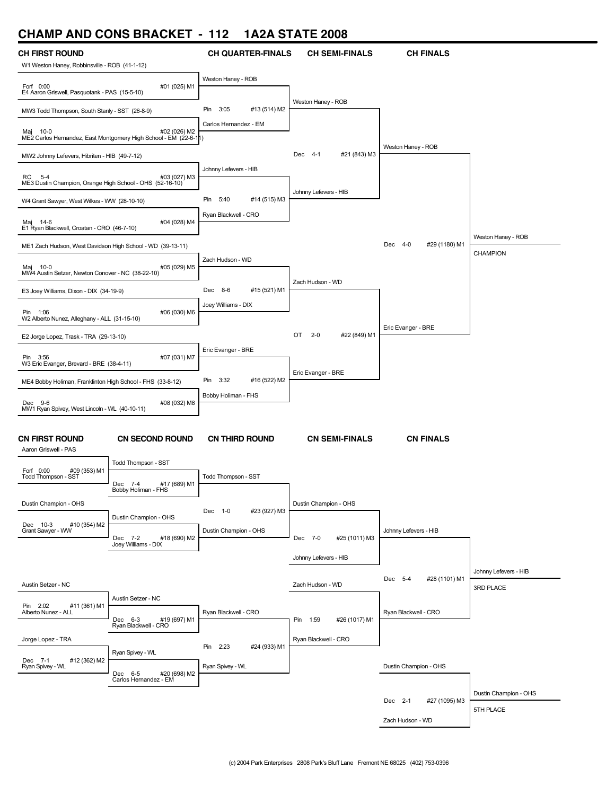# **CHAMP AND CONS BRACKET - 112 1A2A STATE 2008**

| <b>CH FIRST ROUND</b><br>W1 Weston Haney, Robbinsville - ROB (41-1-12)                                 |                                                                  | <b>CH QUARTER-FINALS</b>                            | <b>CH SEMI-FINALS</b>                             | <b>CH FINALS</b>         |                       |
|--------------------------------------------------------------------------------------------------------|------------------------------------------------------------------|-----------------------------------------------------|---------------------------------------------------|--------------------------|-----------------------|
| Forf 0:00                                                                                              | #01 (025) M1                                                     | Weston Haney - ROB                                  |                                                   |                          |                       |
| E4 Aaron Griswell, Pasquotank - PAS (15-5-10)<br>MW3 Todd Thompson, South Stanly - SST (26-8-9)        |                                                                  | #13 (514) M2<br>Pin 3:05                            | Weston Haney - ROB                                |                          |                       |
| Maj 10-0                                                                                               | #02 (026) M2                                                     | Carlos Hernandez - EM                               |                                                   |                          |                       |
|                                                                                                        | ME2 Carlos Hernandez, East Montgomery High School - EM (22-6-11) |                                                     | #21 (843) M3<br>Dec 4-1                           | Weston Haney - ROB       |                       |
| MW2 Johnny Lefevers, Hibriten - HIB (49-7-12)                                                          |                                                                  | Johnny Lefevers - HIB                               |                                                   |                          |                       |
| RC<br>$5 - 4$<br>ME3 Dustin Champion, Orange High School - OHS (52-16-10)                              | #03 (027) M3                                                     |                                                     | Johnny Lefevers - HIB                             |                          |                       |
| W4 Grant Sawyer, West Wilkes - WW (28-10-10)                                                           |                                                                  | Pin<br>5:40<br>#14 (515) M3<br>Ryan Blackwell - CRO |                                                   |                          |                       |
| Maj 14-6<br>E1 Ryan Blackwell, Croatan - CRO (46-7-10)                                                 | #04 (028) M4                                                     |                                                     |                                                   |                          |                       |
| ME1 Zach Hudson, West Davidson High School - WD (39-13-11)                                             |                                                                  |                                                     |                                                   | Dec 4-0<br>#29 (1180) M1 | Weston Haney - ROB    |
| Maj 10-0<br>MW4 Austin Setzer, Newton Conover - NC (38-22-10)                                          | #05 (029) M5                                                     | Zach Hudson - WD                                    |                                                   |                          | <b>CHAMPION</b>       |
| E3 Joey Williams, Dixon - DIX (34-19-9)                                                                |                                                                  | #15 (521) M1<br>Dec 8-6                             | Zach Hudson - WD                                  |                          |                       |
| Pin 1:06                                                                                               | #06 (030) M6                                                     | Joey Williams - DIX                                 |                                                   |                          |                       |
| W2 Alberto Nunez, Alleghany - ALL (31-15-10)<br>E2 Jorge Lopez, Trask - TRA (29-13-10)                 |                                                                  |                                                     | #22 (849) M1<br>OT<br>$2 - 0$                     | Eric Evanger - BRE       |                       |
| Pin 3:56                                                                                               | #07 (031) M7                                                     | Eric Evanger - BRE                                  |                                                   |                          |                       |
| W3 Eric Evanger, Brevard - BRE (38-4-11)<br>ME4 Bobby Holiman, Franklinton High School - FHS (33-8-12) |                                                                  | Pin 3:32<br>#16 (522) M2                            | Eric Evanger - BRE                                |                          |                       |
| Dec 9-6                                                                                                | #08 (032) M8                                                     | Bobby Holiman - FHS                                 |                                                   |                          |                       |
| MW1 Ryan Spivey, West Lincoln - WL (40-10-11)                                                          |                                                                  |                                                     |                                                   |                          |                       |
| <b>CN FIRST ROUND</b><br>Aaron Griswell - PAS                                                          | <b>CN SECOND ROUND</b>                                           | <b>CN THIRD ROUND</b>                               | <b>CN SEMI-FINALS</b>                             | <b>CN FINALS</b>         |                       |
| Forf 0:00<br>#09 (353) M1                                                                              | Todd Thompson - SST                                              |                                                     |                                                   |                          |                       |
| Todd Thompson - SST                                                                                    | #17 (689) M1<br>Dec 7-4<br>Bobby Holiman - FHS                   | Todd Thompson - SST                                 |                                                   |                          |                       |
| Dustin Champion - OHS                                                                                  |                                                                  | Dec 1-0<br>#23 (927) M3                             | Dustin Champion - OHS                             |                          |                       |
| Dec 10-3<br>#10 (354) M2<br>Grant Sawyer - WW                                                          | Dustin Champion - OHS                                            | Dustin Champion - OHS                               |                                                   | Johnny Lefevers - HIB    |                       |
|                                                                                                        | #18 (690) M2<br>Dec 7-2<br>Joey Williams - DIX                   |                                                     | Dec 7-0<br>#25 (1011) M3                          |                          |                       |
|                                                                                                        |                                                                  |                                                     | Johnny Lefevers - HIB                             |                          | Johnny Lefevers - HIB |
| Austin Setzer - NC                                                                                     |                                                                  |                                                     | Zach Hudson - WD                                  | Dec 5-4<br>#28 (1101) M1 | 3RD PLACE             |
| Pin 2:02<br>#11 (361) M1<br>Alberto Nunez - ALL                                                        | Austin Setzer - NC                                               | Ryan Blackwell - CRO                                |                                                   | Ryan Blackwell - CRO     |                       |
| Jorge Lopez - TRA                                                                                      | Dec 6-3<br>#19 (697) M1<br>Ryan Blackwell - CRO                  |                                                     | #26 (1017) M1<br>Pin 1:59<br>Ryan Blackwell - CRO |                          |                       |
|                                                                                                        | Ryan Spivey - WL                                                 | Pin 2:23<br>#24 (933) M1                            |                                                   |                          |                       |
| #12 (362) M2<br>Dec 7-1<br>Ryan Spivey - WL                                                            | Dec 6-5<br>#20 (698) M2<br>Carlos Hernandez - EM                 | Ryan Spivey - WL                                    |                                                   | Dustin Champion - OHS    |                       |
|                                                                                                        |                                                                  |                                                     |                                                   | Dec 2-1<br>#27 (1095) M3 | Dustin Champion - OHS |
|                                                                                                        |                                                                  |                                                     |                                                   | Zach Hudson - WD         | 5TH PLACE             |
|                                                                                                        |                                                                  |                                                     |                                                   |                          |                       |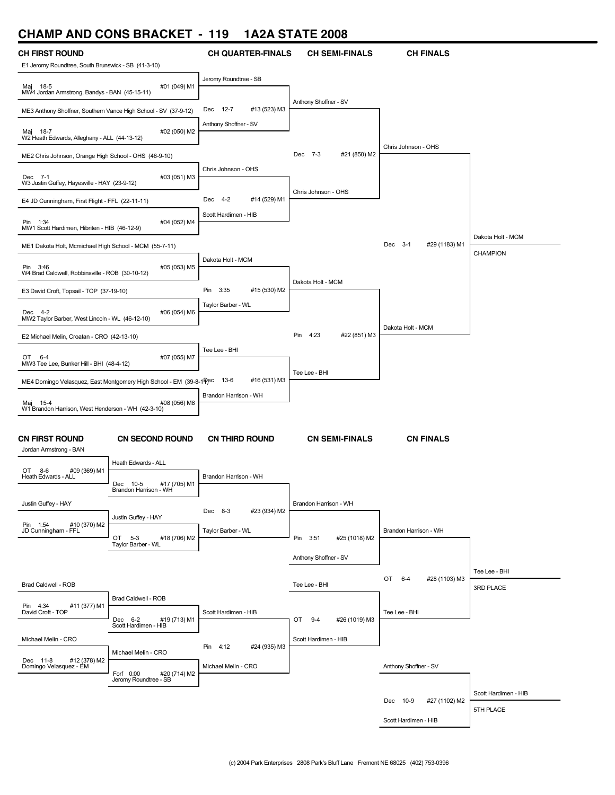### **CHAMP AND CONS BRACKET - 119 1A2A STATE 2008**

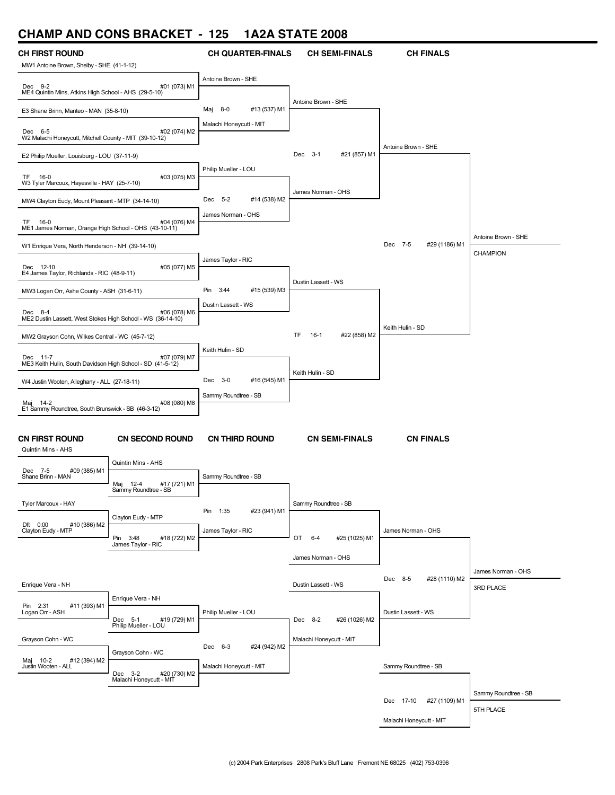### **CHAMP AND CONS BRACKET - 125 1A2A STATE 2008**

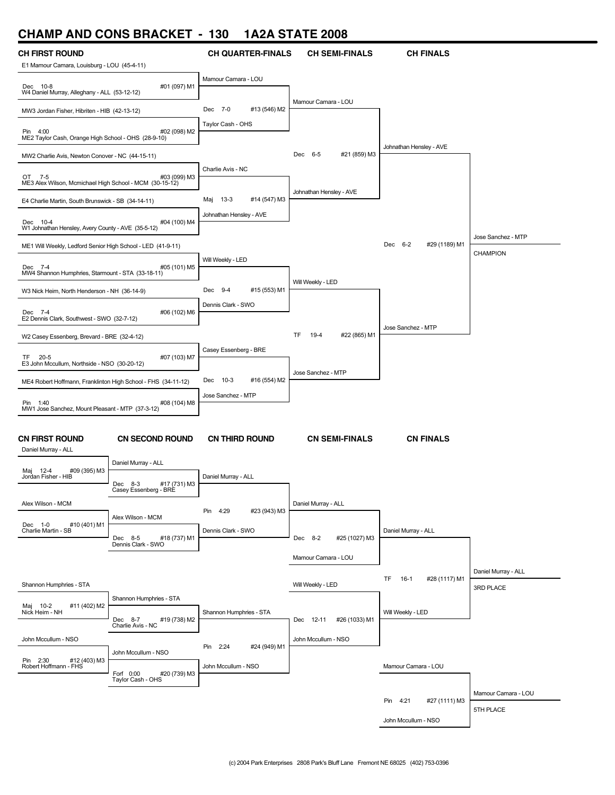### **CHAMP AND CONS BRACKET - 130 1A2A STATE 2008**

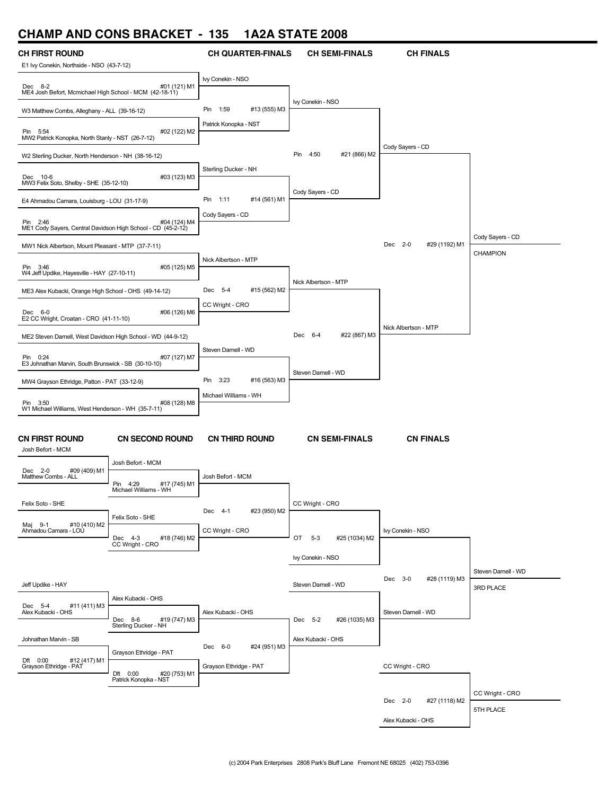### **CHAMP AND CONS BRACKET - 135 1A2A STATE 2008**



Alex Kubacki - OHS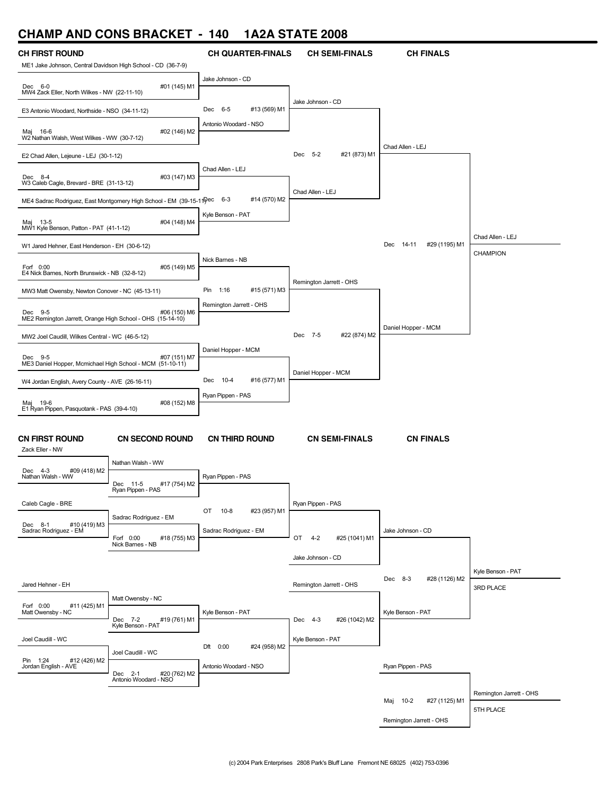### **CHAMP AND CONS BRACKET - 140 1A2A STATE 2008**

| <b>CH FIRST ROUND</b>                                                 |                                                                          | <b>CH QUARTER-FINALS</b>                               | <b>CH SEMI-FINALS</b>          | <b>CH FINALS</b>           |                         |
|-----------------------------------------------------------------------|--------------------------------------------------------------------------|--------------------------------------------------------|--------------------------------|----------------------------|-------------------------|
| ME1 Jake Johnson, Central Davidson High School - CD (36-7-9)          |                                                                          |                                                        |                                |                            |                         |
| Dec 6-0<br>MW4 Zack Eller, North Wilkes - NW (22-11-10)               | #01 (145) M1                                                             | Jake Johnson - CD                                      |                                |                            |                         |
| E3 Antonio Woodard, Northside - NSO (34-11-12)                        |                                                                          | #13 (569) M1<br>Dec 6-5                                | Jake Johnson - CD              |                            |                         |
| Maj 16-6<br>W2 Nathan Walsh, West Wilkes - WW (30-7-12)               | #02 (146) M2                                                             | Antonio Woodard - NSO                                  |                                |                            |                         |
| E2 Chad Allen, Lejeune - LEJ (30-1-12)                                |                                                                          |                                                        | #21 (873) M1<br>Dec 5-2        | Chad Allen - LEJ           |                         |
| Dec 8-4<br>W3 Caleb Cagle, Brevard - BRE (31-13-12)                   | #03 (147) M3                                                             | Chad Allen - LEJ                                       |                                |                            |                         |
|                                                                       | ME4 Sadrac Rodriguez, East Montgomery High School - EM (39-15-11 Pec 6-3 | #14 (570) M2                                           | Chad Allen - LEJ               |                            |                         |
| Maj 13-5<br>MW1 Kyle Benson, Patton - PAT (41-1-12)                   | #04 (148) M4                                                             | Kyle Benson - PAT                                      |                                |                            |                         |
| W1 Jared Hehner, East Henderson - EH (30-6-12)                        |                                                                          |                                                        |                                | Dec 14-11<br>#29 (1195) M1 | Chad Allen - LEJ        |
| Forf 0:00                                                             | #05 (149) M5                                                             | Nick Barnes - NB                                       |                                |                            | <b>CHAMPION</b>         |
| E4 Nick Barnes, North Brunswick - NB (32-8-12)                        |                                                                          |                                                        | Remington Jarrett - OHS        |                            |                         |
| MW3 Matt Owensby, Newton Conover - NC (45-13-11)                      |                                                                          | #15 (571) M3<br>Pin<br>1:16<br>Remington Jarrett - OHS |                                |                            |                         |
| Dec 9-5<br>ME2 Remington Jarrett, Orange High School - OHS (15-14-10) | #06 (150) M6                                                             |                                                        |                                |                            |                         |
| MW2 Joel Caudill, Wilkes Central - WC (46-5-12)                       |                                                                          |                                                        | #22 (874) M2<br>Dec 7-5        | Daniel Hopper - MCM        |                         |
| Dec 9-5<br>ME3 Daniel Hopper, Mcmichael High School - MCM (51-10-11)  | #07 (151) M7                                                             | Daniel Hopper - MCM                                    |                                |                            |                         |
| W4 Jordan English, Avery County - AVE (26-16-11)                      |                                                                          | #16 (577) M1<br>Dec 10-4                               | Daniel Hopper - MCM            |                            |                         |
| Maj 19-6                                                              | #08 (152) M8                                                             | Ryan Pippen - PAS                                      |                                |                            |                         |
| E1 Ryan Pippen, Pasquotank - PAS (39-4-10)                            |                                                                          |                                                        |                                |                            |                         |
| <b>CN FIRST ROUND</b><br>Zack Eller - NW                              | <b>CN SECOND ROUND</b>                                                   | <b>CN THIRD ROUND</b>                                  | <b>CN SEMI-FINALS</b>          | <b>CN FINALS</b>           |                         |
| #09 (418) M2<br>Dec 4-3                                               | Nathan Walsh - WW                                                        |                                                        |                                |                            |                         |
| Nathan Walsh - WW                                                     | #17 (754) M2<br>Dec 11-5<br>Ryan Pippen - PAS                            | Ryan Pippen - PAS                                      |                                |                            |                         |
| Caleb Cagle - BRE                                                     |                                                                          |                                                        | Ryan Pippen - PAS              |                            |                         |
| #10 (419) M3<br>Dec 8-1                                               | Sadrac Rodriguez - EM                                                    | #23 (957) M1<br>OT<br>10-8                             |                                |                            |                         |
| Sadrac Rodriguez - EM                                                 | Forf 0:00<br>#18 (755) M3<br>Nick Barnes - NB                            | Sadrac Rodriguez - EM                                  | OT<br>$4 - 2$<br>#25 (1041) M1 | Jake Johnson - CD          |                         |
|                                                                       |                                                                          |                                                        | Jake Johnson - CD              |                            |                         |
|                                                                       |                                                                          |                                                        |                                | #28 (1126) M2<br>Dec 8-3   | Kyle Benson - PAT       |
| Jared Hehner - EH                                                     | Matt Owensby - NC                                                        |                                                        | Remington Jarrett - OHS        |                            | 3RD PLACE               |
| Forf 0:00<br>#11 (425) M1<br>Matt Owensby - NC                        | #19 (761) M1<br>Dec 7-2                                                  | Kyle Benson - PAT                                      | #26 (1042) M2<br>Dec 4-3       | Kyle Benson - PAT          |                         |
|                                                                       | Kyle Benson - PAT                                                        |                                                        |                                |                            |                         |
| Joel Caudill - WC                                                     | Joel Caudill - WC                                                        | Dft 0:00<br>#24 (958) M2                               | Kyle Benson - PAT              |                            |                         |
| Pin 1:24<br>#12 (426) M2<br>Jordan English - AVE                      | #20 (762) M2<br>Dec 2-1<br>Antonio Woodard - NSO                         | Antonio Woodard - NSO                                  |                                | Ryan Pippen - PAS          |                         |
|                                                                       |                                                                          |                                                        |                                | Maj 10-2                   | Remington Jarrett - OHS |
|                                                                       |                                                                          |                                                        |                                | #27 (1125) M1              | 5TH PLACE               |
|                                                                       |                                                                          |                                                        |                                | Remington Jarrett - OHS    |                         |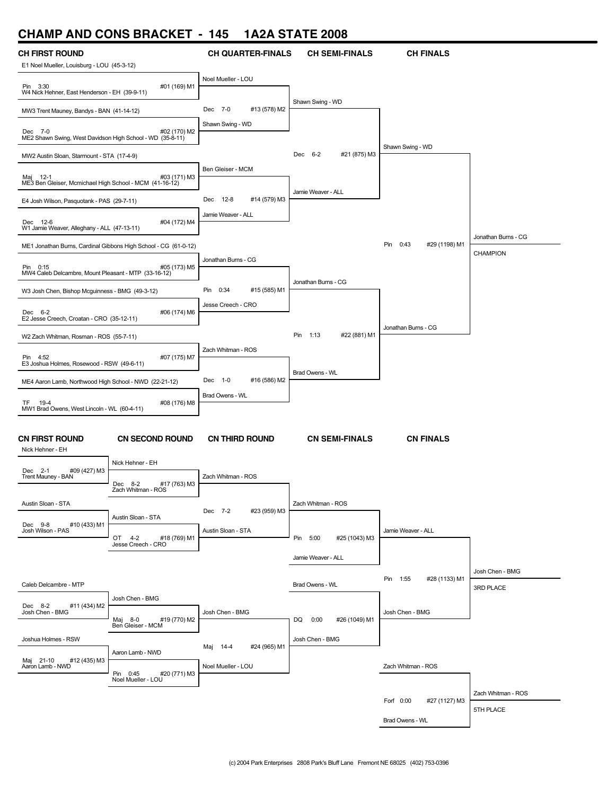# **CHAMP AND CONS BRACKET - 145 1A2A STATE 2008**

| CH FIRST ROUND                                                                       |                                                                 | <b>CH QUARTER-FINALS</b> | <b>CH SEMI-FINALS</b>     | <b>CH FINALS</b>           |                     |
|--------------------------------------------------------------------------------------|-----------------------------------------------------------------|--------------------------|---------------------------|----------------------------|---------------------|
| E1 Noel Mueller, Louisburg - LOU (45-3-12)                                           |                                                                 | Noel Mueller - LOU       |                           |                            |                     |
| Pin 3:30<br>W4 Nick Hehner, East Henderson - EH (39-9-11)                            | #01 (169) M1                                                    |                          | Shawn Swing - WD          |                            |                     |
| MW3 Trent Mauney, Bandys - BAN (41-14-12)                                            |                                                                 | Dec 7-0<br>#13 (578) M2  |                           |                            |                     |
| Dec 7-0<br>#02 (170) M2<br>ME2 Shawn Swing, West Davidson High School - WD (35-8-11) |                                                                 | Shawn Swing - WD         |                           |                            |                     |
| MW2 Austin Sloan, Starmount - STA (17-4-9)                                           |                                                                 |                          | #21 (875) M3<br>Dec 6-2   | Shawn Swing - WD           |                     |
| Maj 12-1<br>ME3 Ben Gleiser, Mcmichael High School - MCM (41-16-12)                  | #03 (171) M3                                                    | Ben Gleiser - MCM        |                           |                            |                     |
| E4 Josh Wilson, Pasquotank - PAS (29-7-11)                                           |                                                                 | Dec 12-8<br>#14 (579) M3 | Jamie Weaver - ALL        |                            |                     |
| Dec 12-6<br>W1 Jamie Weaver, Alleghany - ALL (47-13-11)                              | #04 (172) M4                                                    | Jamie Weaver - ALL       |                           |                            |                     |
|                                                                                      | ME1 Jonathan Burns, Cardinal Gibbons High School - CG (61-0-12) |                          |                           | Pin 0:43<br>#29 (1198) M1  | Jonathan Burns - CG |
|                                                                                      |                                                                 | Jonathan Burns - CG      |                           |                            | <b>CHAMPION</b>     |
| Pin 0:15<br>MW4 Caleb Delcambre, Mount Pleasant - MTP (33-16-12)                     | #05 (173) M5                                                    |                          |                           |                            |                     |
| W3 Josh Chen, Bishop Mcguinness - BMG (49-3-12)                                      |                                                                 | Pin 0:34<br>#15 (585) M1 | Jonathan Burns - CG       |                            |                     |
| Dec 6-2<br>E2 Jesse Creech, Croatan - CRO (35-12-11)                                 | #06 (174) M6                                                    | Jesse Creech - CRO       |                           |                            |                     |
| W2 Zach Whitman, Rosman - ROS (55-7-11)                                              |                                                                 |                          | Pin 1:13<br>#22 (881) M1  | Jonathan Burns - CG        |                     |
|                                                                                      |                                                                 | Zach Whitman - ROS       |                           |                            |                     |
| Pin 4:52<br>E3 Joshua Holmes, Rosewood - RSW (49-6-11)                               | #07 (175) M7                                                    |                          | Brad Owens - WL           |                            |                     |
| ME4 Aaron Lamb, Northwood High School - NWD (22-21-12)                               |                                                                 | Dec 1-0<br>#16 (586) M2  |                           |                            |                     |
| 19-4<br>TF.<br>MW1 Brad Owens, West Lincoln - WL (60-4-11)                           | #08 (176) M8                                                    | Brad Owens - WL          |                           |                            |                     |
|                                                                                      |                                                                 |                          |                           |                            |                     |
| <b>CN FIRST ROUND</b><br>Nick Hehner - EH                                            | <b>CN SECOND ROUND</b>                                          | <b>CN THIRD ROUND</b>    | <b>CN SEMI-FINALS</b>     | <b>CN FINALS</b>           |                     |
|                                                                                      | Nick Hehner - EH                                                |                          |                           |                            |                     |
| Dec 2-1<br>#09 (427) M3<br>Trent Mauney - BAN                                        | #17 (763) M3<br>Dec 8-2<br>Zach Whitman - ROS                   | Zach Whitman - ROS       |                           |                            |                     |
| Austin Sloan - STA                                                                   |                                                                 |                          | Zach Whitman - ROS        |                            |                     |
|                                                                                      | Austin Sloan - STA                                              | Dec 7-2<br>#23 (959) M3  |                           |                            |                     |
| Dec 9-8<br>#10 (433) M1<br>Josh Wilson - PAS                                         | #18 (769) M1<br>OT 4-2                                          | Austin Sloan - STA       | Pin 5:00<br>#25 (1043) M3 | Jamie Weaver - ALL         |                     |
|                                                                                      | Jesse Creech - CRO                                              |                          |                           |                            |                     |
|                                                                                      |                                                                 |                          | Jamie Weaver - ALL        |                            | Josh Chen - BMG     |
| Caleb Delcambre - MTP                                                                |                                                                 |                          | Brad Owens - WL           | Pin 1:55<br>#28 (1133) M1  | 3RD PLACE           |
|                                                                                      | Josh Chen - BMG                                                 |                          |                           |                            |                     |
| Dec 8-2<br>#11 (434) M2<br>Josh Chen - BMG                                           | #19 (770) M2                                                    | Josh Chen - BMG          | DQ<br>0:00                | Josh Chen - BMG            |                     |
|                                                                                      | Maj 8-0<br>Ben Gleiser - MCM                                    |                          | #26 (1049) M1             |                            |                     |
| Joshua Holmes - RSW                                                                  |                                                                 | Maj 14-4<br>#24 (965) M1 | Josh Chen - BMG           |                            |                     |
| Maj 21-10<br>#12 (435) M3<br>Aaron Lamb - NWD                                        | Aaron Lamb - NWD                                                | Noel Mueller - LOU       |                           | Zach Whitman - ROS         |                     |
|                                                                                      | Pin 0:45<br>#20 (771) M3<br>Noel Mueller - LOU                  |                          |                           |                            |                     |
|                                                                                      |                                                                 |                          |                           |                            | Zach Whitman - ROS  |
|                                                                                      |                                                                 |                          |                           | Forf 0:00<br>#27 (1127) M3 | 5TH PLACE           |
|                                                                                      |                                                                 |                          |                           | Brad Owens - WL            |                     |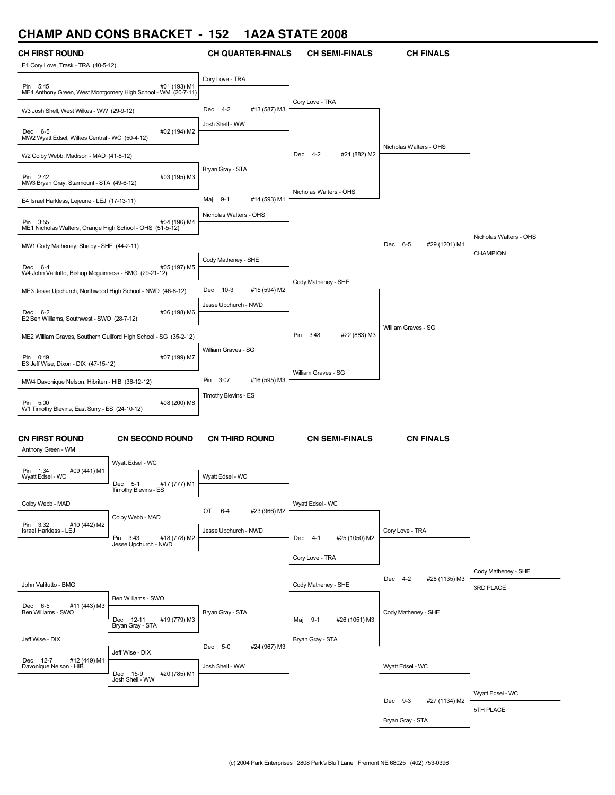# **CHAMP AND CONS BRACKET - 152 1A2A STATE 2008**

| <b>CH FIRST ROUND</b>                                                |                                                                               | <b>CH QUARTER-FINALS</b> | <b>CH SEMI-FINALS</b>    | <b>CH FINALS</b>         |                        |
|----------------------------------------------------------------------|-------------------------------------------------------------------------------|--------------------------|--------------------------|--------------------------|------------------------|
| E1 Cory Love, Trask - TRA (40-5-12)                                  |                                                                               |                          |                          |                          |                        |
| Pin 5:45                                                             | #01 (193) M1<br>ME4 Anthony Green, West Montgomery High School - WM (20-7-11) | Cory Love - TRA          |                          |                          |                        |
| W3 Josh Shell, West Wilkes - WW (29-9-12)                            |                                                                               | #13 (587) M3<br>Dec 4-2  | Cory Love - TRA          |                          |                        |
| Dec 6-5<br>MW2 Wyatt Edsel, Wilkes Central - WC (50-4-12)            | #02 (194) M2                                                                  | Josh Shell - WW          |                          |                          |                        |
| W2 Colby Webb, Madison - MAD (41-8-12)                               |                                                                               |                          | Dec 4-2<br>#21 (882) M2  | Nicholas Walters - OHS   |                        |
| Pin 2:42<br>MW3 Bryan Gray, Starmount - STA (49-6-12)                | #03 (195) M3                                                                  | Bryan Gray - STA         |                          |                          |                        |
| E4 Israel Harkless, Lejeune - LEJ (17-13-11)                         |                                                                               | Maj 9-1<br>#14 (593) M1  | Nicholas Walters - OHS   |                          |                        |
| Pin 3:55<br>ME1 Nicholas Walters, Orange High School - OHS (51-5-12) | #04 (196) M4                                                                  | Nicholas Walters - OHS   |                          |                          |                        |
| MW1 Cody Matheney, Shelby - SHE (44-2-11)                            |                                                                               |                          |                          | Dec 6-5<br>#29 (1201) M1 | Nicholas Walters - OHS |
|                                                                      |                                                                               | Cody Matheney - SHE      |                          |                          | CHAMPION               |
| Dec 6-4<br>W4 John Valitutto, Bishop Mcguinness - BMG (29-21-12)     | #05 (197) M5                                                                  |                          |                          |                          |                        |
| ME3 Jesse Upchurch, Northwood High School - NWD (46-8-12)            |                                                                               | #15 (594) M2<br>Dec 10-3 | Cody Matheney - SHE      |                          |                        |
| Dec 6-2<br>E2 Ben Williams, Southwest - SWO (28-7-12)                | #06 (198) M6                                                                  | Jesse Upchurch - NWD     |                          |                          |                        |
| ME2 William Graves, Southern Guilford High School - SG (35-2-12)     |                                                                               |                          | Pin 3:48<br>#22 (883) M3 | William Graves - SG      |                        |
| Pin 0:49<br>E3 Jeff Wise, Dixon - DIX (47-15-12)                     | #07 (199) M7                                                                  | William Graves - SG      |                          |                          |                        |
| MW4 Davonique Nelson, Hibriten - HIB (36-12-12)                      |                                                                               | Pin 3:07<br>#16 (595) M3 | William Graves - SG      |                          |                        |
|                                                                      |                                                                               | Timothy Blevins - ES     |                          |                          |                        |
| Pin 5:00<br>W1 Timothy Blevins, East Surry - ES (24-10-12)           | #08 (200) M8                                                                  |                          |                          |                          |                        |
| <b>CN FIRST ROUND</b><br>Anthony Green - WM                          | <b>CN SECOND ROUND</b>                                                        | <b>CN THIRD ROUND</b>    | <b>CN SEMI-FINALS</b>    | <b>CN FINALS</b>         |                        |
| Pin 1:34<br>#09 (441) M1                                             | Wyatt Edsel - WC                                                              |                          |                          |                          |                        |
| Wyatt Edsel - WC                                                     | #17 (777) M1<br>Dec 5-1<br>Timothy Blevins - ES                               | Wyatt Edsel - WC         |                          |                          |                        |
| Colby Webb - MAD                                                     |                                                                               | OT 6-4<br>#23 (966) M2   | Wyatt Edsel - WC         |                          |                        |
| Pin 3:32<br>#10 (442) M2                                             | Colby Webb - MAD                                                              |                          |                          |                          |                        |
| Israel Harkless - LEJ                                                | #18 (778) M2<br>Pin<br>3:43<br>Jesse Upchurch - NWD                           | Jesse Upchurch - NWD     | Dec 4-1<br>#25 (1050) M2 | Cory Love - TRA          |                        |
|                                                                      |                                                                               |                          | Cory Love - TRA          |                          |                        |
|                                                                      |                                                                               |                          |                          |                          | Cody Matheney - SHE    |
| John Valitutto - BMG                                                 |                                                                               |                          | Cody Matheney - SHE      | Dec 4-2<br>#28 (1135) M3 | 3RD PLACE              |
| Dec 6-5<br>#11 (443) M3                                              | Ben Williams - SWO                                                            |                          |                          |                          |                        |
| Ben Williams - SWO                                                   | #19 (779) M3<br>Dec 12-11<br>Bryan Gray - STA                                 | Bryan Gray - STA         | #26 (1051) M3<br>Maj 9-1 | Cody Matheney - SHE      |                        |
| Jeff Wise - DIX                                                      |                                                                               |                          | Bryan Gray - STA         |                          |                        |
| #12 (449) M1<br>Dec 12-7                                             | Jeff Wise - DIX                                                               | Dec 5-0<br>#24 (967) M3  |                          |                          |                        |
| Davonique Nelson - HIB                                               | #20 (785) M1<br>Dec 15-9                                                      | Josh Shell - WW          |                          | Wyatt Edsel - WC         |                        |
|                                                                      | Josh Shell - WW                                                               |                          |                          |                          | Wyatt Edsel - WC       |
|                                                                      |                                                                               |                          |                          | Dec 9-3<br>#27 (1134) M2 | 5TH PLACE              |
|                                                                      |                                                                               |                          |                          | Bryan Gray - STA         |                        |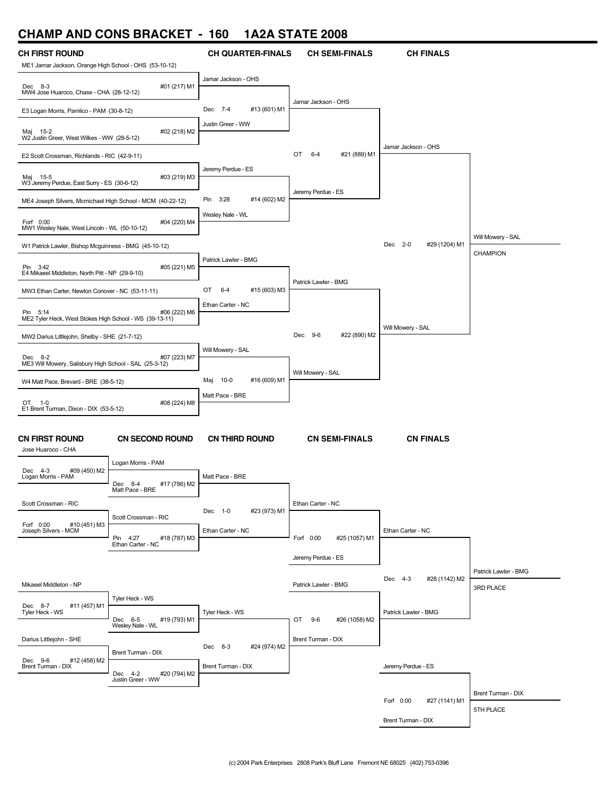### **CHAMP AND CONS BRACKET - 160 1A2A STATE 2008**



Brent Turman - DIX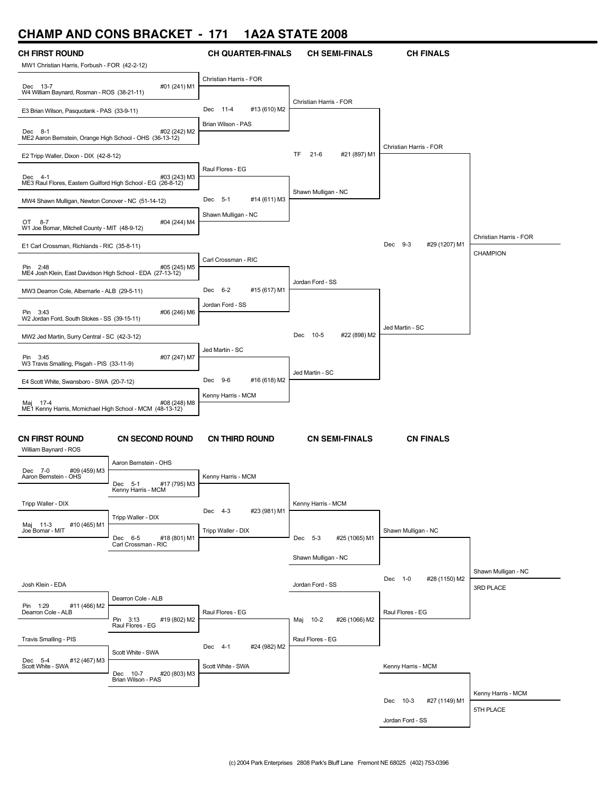## **CHAMP AND CONS BRACKET - 171 1A2A STATE 2008**

| <b>CH FIRST ROUND</b><br>MW1 Christian Harris, Forbush - FOR (42-2-12)  |                                                | <b>CH QUARTER-FINALS</b>                      | <b>CH SEMI-FINALS</b>      | <b>CH FINALS</b>          |                        |
|-------------------------------------------------------------------------|------------------------------------------------|-----------------------------------------------|----------------------------|---------------------------|------------------------|
|                                                                         |                                                | Christian Harris - FOR                        |                            |                           |                        |
| Dec 13-7<br>W4 William Baynard, Rosman - ROS (38-21-11)                 | #01 (241) M1                                   |                                               |                            |                           |                        |
| E3 Brian Wilson, Pasquotank - PAS (33-9-11)                             |                                                | Dec 11-4<br>#13 (610) M2                      | Christian Harris - FOR     |                           |                        |
| Dec 8-1                                                                 | #02 (242) M2                                   | Brian Wilson - PAS                            |                            |                           |                        |
| ME2 Aaron Bernstein, Orange High School - OHS (36-13-12)                |                                                |                                               |                            | Christian Harris - FOR    |                        |
| E2 Tripp Waller, Dixon - DIX (42-8-12)                                  |                                                |                                               | TF<br>21-6<br>#21 (897) M1 |                           |                        |
| Dec 4-1<br>ME3 Raul Flores, Eastern Guilford High School - EG (26-8-12) | #03 (243) M3                                   | Raul Flores - EG                              |                            |                           |                        |
|                                                                         |                                                | Dec 5-1                                       | Shawn Mulligan - NC        |                           |                        |
| MW4 Shawn Mulligan, Newton Conover - NC (51-14-12)                      |                                                | #14 (611) M3<br>Shawn Mulligan - NC           |                            |                           |                        |
| OT 8-7<br>W1 Joe Bomar, Mitchell County - MIT (48-9-12)                 | #04 (244) M4                                   |                                               |                            |                           |                        |
| E1 Carl Crossman, Richlands - RIC (35-8-11)                             |                                                |                                               |                            | Dec 9-3<br>#29 (1207) M1  | Christian Harris - FOR |
|                                                                         |                                                | Carl Crossman - RIC                           |                            |                           | <b>CHAMPION</b>        |
| Pin 2:48<br>ME4 Josh Klein, East Davidson High School - EDA (27-13-12)  | #05 (245) M5                                   |                                               |                            |                           |                        |
| MW3 Dearron Cole, Albemarle - ALB (29-5-11)                             |                                                | Dec 6-2<br>#15 (617) M1                       | Jordan Ford - SS           |                           |                        |
| Pin 3:43                                                                | #06 (246) M6                                   | Jordan Ford - SS                              |                            |                           |                        |
| W2 Jordan Ford, South Stokes - SS (39-15-11)                            |                                                |                                               |                            | Jed Martin - SC           |                        |
| MW2 Jed Martin, Surry Central - SC (42-3-12)                            |                                                |                                               | #22 (898) M2<br>Dec 10-5   |                           |                        |
| Pin 3:45                                                                | #07 (247) M7                                   | Jed Martin - SC                               |                            |                           |                        |
| W3 Travis Smalling, Pisgah - PIS (33-11-9)                              |                                                |                                               | Jed Martin - SC            |                           |                        |
| E4 Scott White, Swansboro - SWA (20-7-12)                               |                                                | Dec 9-6<br>#16 (618) M2<br>Kenny Harris - MCM |                            |                           |                        |
| Maj 17-4<br>ME1 Kenny Harris, Mcmichael High School - MCM (48-13-12)    | #08 (248) M8                                   |                                               |                            |                           |                        |
|                                                                         |                                                |                                               |                            |                           |                        |
| <b>CN FIRST ROUND</b><br>William Baynard - ROS                          | <b>CN SECOND ROUND</b>                         | <b>CN THIRD ROUND</b>                         | <b>CN SEMI-FINALS</b>      | <b>CN FINALS</b>          |                        |
| #09 (459) M3<br>Dec 7-0                                                 | Aaron Bernstein - OHS                          |                                               |                            |                           |                        |
| Aaron Bernstein - OHS                                                   | Dec<br>$-5-1$<br>#17 (795) M3                  | Kenny Harris - MCM                            |                            |                           |                        |
| Tripp Waller - DIX                                                      | Kenny Harris - MCM                             |                                               | Kenny Harris - MCM         |                           |                        |
|                                                                         | Tripp Waller - DIX                             | Dec 4-3<br>#23 (981) M1                       |                            |                           |                        |
| Maj 11-3<br>#10 (465) M1<br>Joe Bomar - MIT                             | #18 (801) M1<br>Dec 6-5                        | Tripp Waller - DIX                            | Dec 5-3<br>#25 (1065) M1   | Shawn Mulligan - NC       |                        |
|                                                                         | Carl Crossman - RIC                            |                                               |                            |                           |                        |
|                                                                         |                                                |                                               | Shawn Mulligan - NC        |                           | Shawn Mulligan - NC    |
| Josh Klein - EDA                                                        |                                                |                                               | Jordan Ford - SS           | Dec 1-0<br>#28 (1150) M2  | 3RD PLACE              |
| Pin 1:29<br>#11 (466) M2                                                | Dearron Cole - ALB                             |                                               |                            |                           |                        |
| Dearron Cole - ALB                                                      | Pin 3:13<br>#19 (802) M2                       | Raul Flores - EG                              | Maj 10-2<br>#26 (1066) M2  | Raul Flores - EG          |                        |
|                                                                         | Raul Flores - EG                               |                                               | Raul Flores - EG           |                           |                        |
| Travis Smalling - PIS                                                   | Scott White - SWA                              | Dec 4-1<br>#24 (982) M2                       |                            |                           |                        |
| Dec 5-4<br>Scott White - SWA<br>#12 (467) M3                            |                                                | Scott White - SWA                             |                            | Kenny Harris - MCM        |                        |
|                                                                         | Dec 10-7<br>#20 (803) M3<br>Brian Wilson - PAS |                                               |                            |                           |                        |
|                                                                         |                                                |                                               |                            | Dec 10-3<br>#27 (1149) M1 | Kenny Harris - MCM     |
|                                                                         |                                                |                                               |                            | Jordan Ford - SS          | 5TH PLACE              |
|                                                                         |                                                |                                               |                            |                           |                        |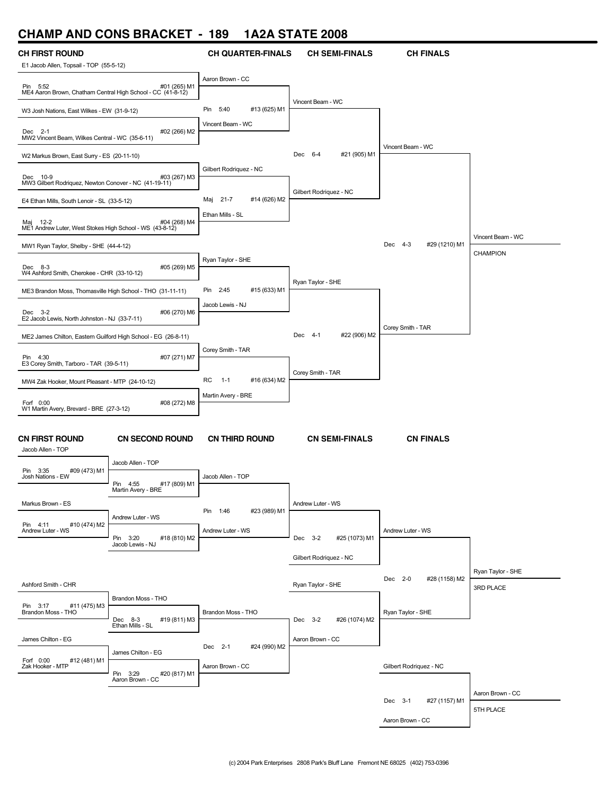## **CHAMP AND CONS BRACKET - 189 1A2A STATE 2008**

| E1 Jacob Allen, Topsail - TOP (55-5-12)<br>Aaron Brown - CC<br>#01 (265) M1<br>Pin 5:52<br>ME4 Aaron Brown, Chatham Central High School - CC (41-8-12)<br>Vincent Beam - WC<br>#13 (625) M1<br>Pin 5:40<br>W3 Josh Nations, East Wilkes - EW (31-9-12)<br>Vincent Beam - WC<br>#02 (266) M2<br>Dec 2-1<br>MW2 Vincent Beam, Wilkes Central - WC (35-6-11)<br>Vincent Beam - WC<br>#21 (905) M1<br>Dec 6-4<br>W2 Markus Brown, East Surry - ES (20-11-10)<br>Gilbert Rodriguez - NC<br>#03 (267) M3<br>Dec 10-9 |  |
|----------------------------------------------------------------------------------------------------------------------------------------------------------------------------------------------------------------------------------------------------------------------------------------------------------------------------------------------------------------------------------------------------------------------------------------------------------------------------------------------------------------|--|
|                                                                                                                                                                                                                                                                                                                                                                                                                                                                                                                |  |
|                                                                                                                                                                                                                                                                                                                                                                                                                                                                                                                |  |
|                                                                                                                                                                                                                                                                                                                                                                                                                                                                                                                |  |
|                                                                                                                                                                                                                                                                                                                                                                                                                                                                                                                |  |
|                                                                                                                                                                                                                                                                                                                                                                                                                                                                                                                |  |
| MW3 Gilbert Rodriguez, Newton Conover - NC (41-19-11)                                                                                                                                                                                                                                                                                                                                                                                                                                                          |  |
| Gilbert Rodriquez - NC<br>Maj 21-7<br>#14 (626) M2                                                                                                                                                                                                                                                                                                                                                                                                                                                             |  |
| E4 Ethan Mills, South Lenoir - SL (33-5-12)<br>Ethan Mills - SL<br>#04 (268) M4<br>Maj 12-2                                                                                                                                                                                                                                                                                                                                                                                                                    |  |
| ME1 Andrew Luter, West Stokes High School - WS (43-8-12)<br>Vincent Beam - WC                                                                                                                                                                                                                                                                                                                                                                                                                                  |  |
| #29 (1210) M1<br>Dec 4-3<br>MW1 Ryan Taylor, Shelby - SHE (44-4-12)<br>CHAMPION                                                                                                                                                                                                                                                                                                                                                                                                                                |  |
| Ryan Taylor - SHE<br>#05 (269) M5<br>Dec 8-3<br>W4 Ashford Smith, Cherokee - CHR (33-10-12)                                                                                                                                                                                                                                                                                                                                                                                                                    |  |
| Ryan Taylor - SHE<br>#15 (633) M1<br>Pin 2:45<br>ME3 Brandon Moss, Thomasville High School - THO (31-11-11)                                                                                                                                                                                                                                                                                                                                                                                                    |  |
| Jacob Lewis - NJ<br>#06 (270) M6<br>Dec 3-2<br>E2 Jacob Lewis, North Johnston - NJ (33-7-11)                                                                                                                                                                                                                                                                                                                                                                                                                   |  |
| Corey Smith - TAR<br>#22 (906) M2<br>Dec 4-1                                                                                                                                                                                                                                                                                                                                                                                                                                                                   |  |
| ME2 James Chilton, Eastern Guilford High School - EG (26-8-11)<br>Corey Smith - TAR                                                                                                                                                                                                                                                                                                                                                                                                                            |  |
| Pin 4:30<br>#07 (271) M7<br>E3 Corey Smith, Tarboro - TAR (39-5-11)                                                                                                                                                                                                                                                                                                                                                                                                                                            |  |
| Corey Smith - TAR<br>RC<br>#16 (634) M2<br>$-1-1$<br>MW4 Zak Hooker, Mount Pleasant - MTP (24-10-12)                                                                                                                                                                                                                                                                                                                                                                                                           |  |
| Martin Avery - BRE                                                                                                                                                                                                                                                                                                                                                                                                                                                                                             |  |
| Forf 0:00<br>#08 (272) M8<br>W1 Martin Avery, Brevard - BRE (27-3-12)                                                                                                                                                                                                                                                                                                                                                                                                                                          |  |
| <b>CN SEMI-FINALS</b><br><b>CN FIRST ROUND</b><br><b>CN SECOND ROUND</b><br><b>CN THIRD ROUND</b><br><b>CN FINALS</b><br>Jacob Allen - TOP                                                                                                                                                                                                                                                                                                                                                                     |  |
| Jacob Allen - TOP<br>#09 (473) M1<br>Pin 3:35                                                                                                                                                                                                                                                                                                                                                                                                                                                                  |  |
| Jacob Allen - TOP<br>Josh Nations - EW<br>Pin<br>#17 (809) M1<br>4:55<br>Martin Avery - BRE                                                                                                                                                                                                                                                                                                                                                                                                                    |  |
| Markus Brown - ES<br>Andrew Luter - WS                                                                                                                                                                                                                                                                                                                                                                                                                                                                         |  |
| #23 (989) M1<br>Pin 1:46<br>Andrew Luter - WS<br>#10 (474) M2<br>Pin 4:11                                                                                                                                                                                                                                                                                                                                                                                                                                      |  |
| Andrew Luter - WS<br>Andrew Luter - WS<br>Andrew Luter - WS<br>Pin 3:20<br>#18 (810) M2<br>Dec 3-2<br>#25 (1073) M1                                                                                                                                                                                                                                                                                                                                                                                            |  |
| Jacob Lewis - NJ<br>Gilbert Rodriguez - NC                                                                                                                                                                                                                                                                                                                                                                                                                                                                     |  |
| Ryan Taylor - SHE                                                                                                                                                                                                                                                                                                                                                                                                                                                                                              |  |
| Dec 2-0<br>#28 (1158) M2<br>Ashford Smith - CHR<br>Ryan Taylor - SHE<br><b>3RD PLACE</b>                                                                                                                                                                                                                                                                                                                                                                                                                       |  |
| Brandon Moss - THO<br>Pin 3:17<br>#11 (475) M3                                                                                                                                                                                                                                                                                                                                                                                                                                                                 |  |
| Brandon Moss - THO<br>Brandon Moss - THO<br>Ryan Taylor - SHE<br>Dec 8-3<br>#19 (811) M3<br>#26 (1074) M2<br>Dec 3-2                                                                                                                                                                                                                                                                                                                                                                                           |  |
| Ethan Mills - SL<br>James Chilton - EG<br>Aaron Brown - CC                                                                                                                                                                                                                                                                                                                                                                                                                                                     |  |
| Dec 2-1<br>#24 (990) M2<br>James Chilton - EG                                                                                                                                                                                                                                                                                                                                                                                                                                                                  |  |
| Forf 0:00<br>Zak Hooker - MTP<br>#12 (481) M1<br>Aaron Brown - CC<br>Gilbert Rodriguez - NC                                                                                                                                                                                                                                                                                                                                                                                                                    |  |
| Pin 3:29<br>Aaron Brown - CC<br>#20 (817) M1                                                                                                                                                                                                                                                                                                                                                                                                                                                                   |  |
| Aaron Brown - CC<br>Dec 3-1<br>#27 (1157) M1                                                                                                                                                                                                                                                                                                                                                                                                                                                                   |  |
| 5TH PLACE<br>Aaron Brown - CC                                                                                                                                                                                                                                                                                                                                                                                                                                                                                  |  |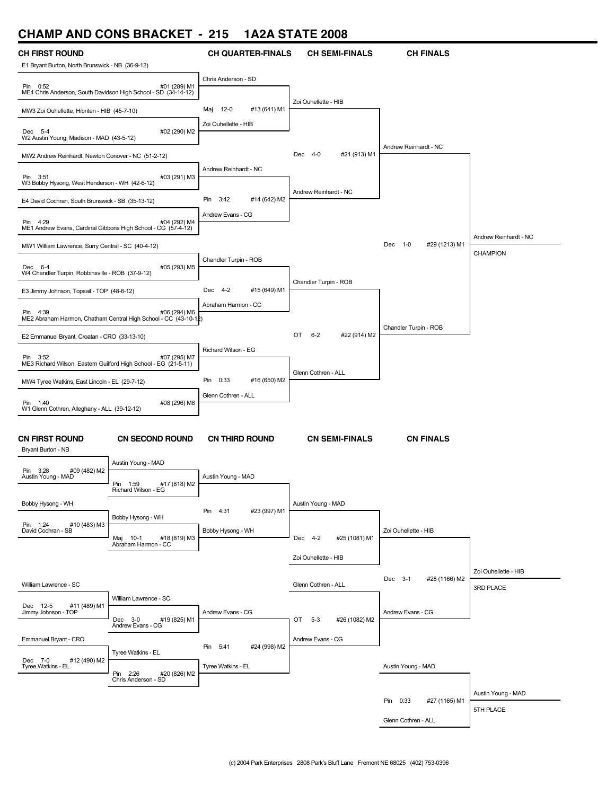#### **CHAMP AND CONS BRACKET - 215 1A2A STATE 2008**